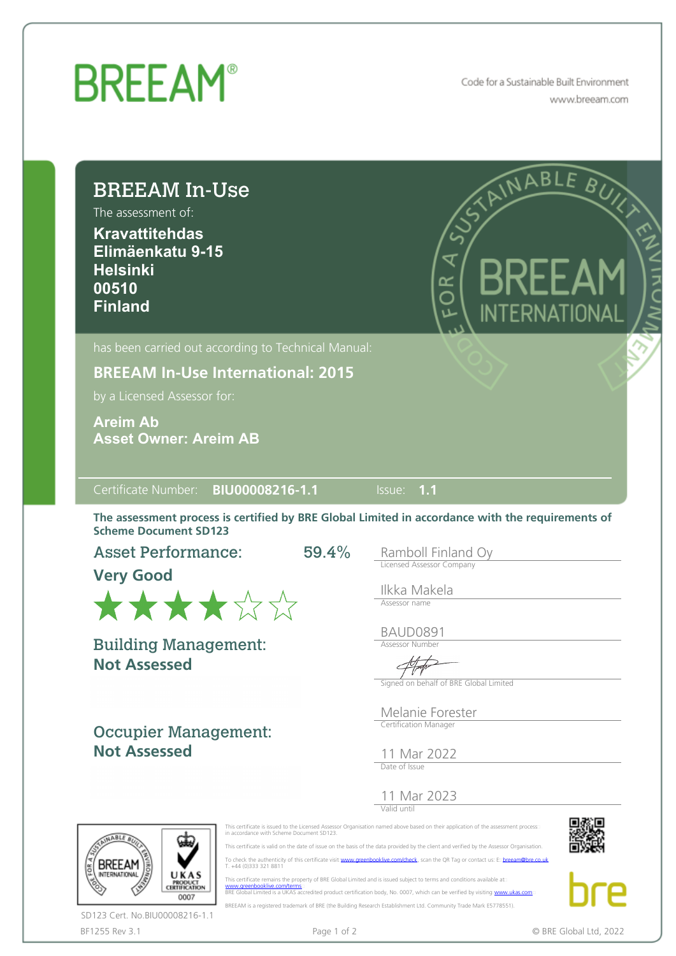## **BREEAM®**

Code for a Sustainable Built Environment www.breeam.com

| The assessment of:<br><b>Kravattitehdas</b><br>Elimäenkatu 9-15<br><b>Helsinki</b><br>00510<br><b>Finland</b>                                                       | A CAMABLE BUYS<br>KKF<br>6R<br>INTERNATIONAL                                                   |
|---------------------------------------------------------------------------------------------------------------------------------------------------------------------|------------------------------------------------------------------------------------------------|
| has been carried out according to Technical Manual:<br><b>BREEAM In-Use International: 2015</b><br>by a Licensed Assessor for:                                      |                                                                                                |
| <b>Areim Ab</b><br><b>Asset Owner: Areim AB</b>                                                                                                                     |                                                                                                |
| Certificate Number: BIU00008216-1.1                                                                                                                                 | $\overline{\mathsf{I}^{\mathsf{ISSUE}}}\$ 1.1                                                  |
| The assessment process is certified by BRE Global Limited in accordance with the requirements of<br><b>Scheme Document SD123</b>                                    |                                                                                                |
| $59.4\%$                                                                                                                                                            | Ramboll Finland Oy<br><b>Licensed Assessor Company</b><br>Ilkka Makela<br>Assessor name        |
|                                                                                                                                                                     | <b>BAUD0891</b><br>Assessor Number<br>$\overline{A}$<br>Signed on behalf of BRE Global Limited |
| <b>Asset Performance:</b><br><b>Very Good</b><br>******<br><b>Building Management:</b><br><b>Not Assessed</b><br><b>Occupier Management:</b><br><b>Not Assessed</b> | Melanie Forester<br>Certification Manager<br>11 Mar 2022<br>Date of Issue                      |

BF1255 Rev 3.1 **Page 1 of 2** Page 1 of 2 **CONF CONF CONF CONF CONF CONF CONF CONF CONF CONF CONF CONF CONF CONF CONF CONF CONF CONF CONF CONF CONF CONF CONF CONF CONF CONF** SD123 Cert. No.BIU00008216-1.1

BREEAM is a registered trademark of BRE (the Building Research Establishment Ltd. Community Trade Mark E5778551).

ם וט